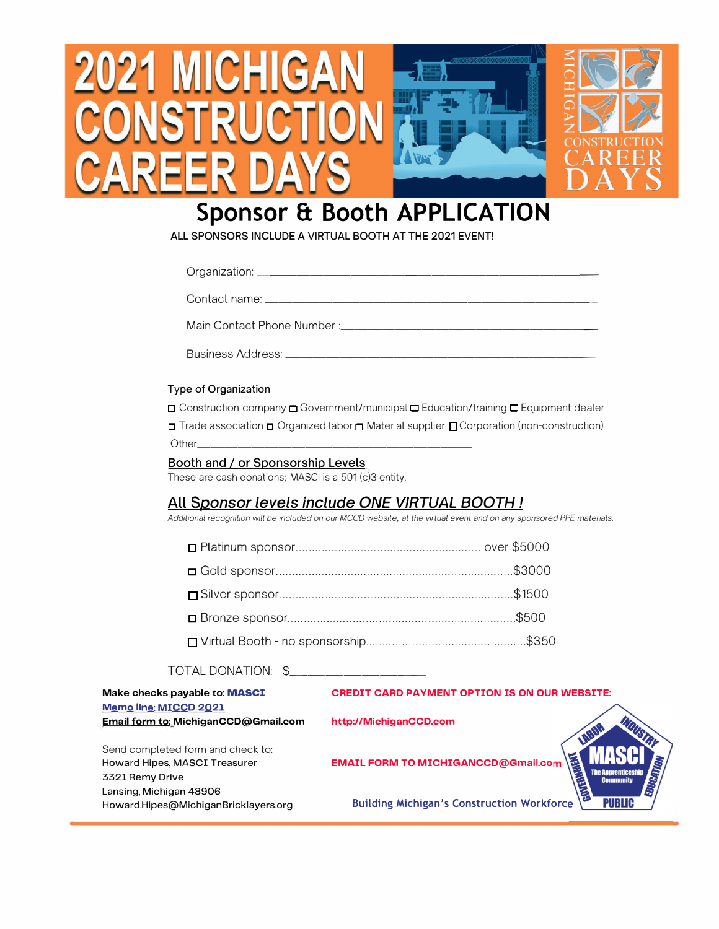

# **Sponsor & Booth APPLICATION**

**ALL SPONSORS INCLUDE A VIRTUAL BOOTH AT THE 2021 EVENT!** 

|                                                                                            | Contact name: the contact name of the contact name of the contact name of the contact name of the contact of the contact of the contact of the contact of the contact of the contact of the contact of the contact of the cont      |
|--------------------------------------------------------------------------------------------|-------------------------------------------------------------------------------------------------------------------------------------------------------------------------------------------------------------------------------------|
|                                                                                            |                                                                                                                                                                                                                                     |
|                                                                                            | <b>Business Address:</b> And the state of the state of the state of the state of the state of the state of the state of the state of the state of the state of the state of the state of the state of the state of the state of the |
| Type of Organization                                                                       |                                                                                                                                                                                                                                     |
|                                                                                            | □ Construction company □ Government/municipal □ Education/training □ Equipment dealer                                                                                                                                               |
|                                                                                            | □ Trade association □ Organized labor □ Material supplier □ Corporation (non-construction)                                                                                                                                          |
|                                                                                            |                                                                                                                                                                                                                                     |
| Booth and / or Sponsorship Levels<br>These are cash donations; MASCI is a 501 (c)3 entity. |                                                                                                                                                                                                                                     |
|                                                                                            | <u>All Sponsor levels include ONE VIRTUAL BOOTH!</u><br>Additional recognition will be included on our MCCD website, at the virtual event and on any sponsored PPE materials.                                                       |
|                                                                                            |                                                                                                                                                                                                                                     |
|                                                                                            |                                                                                                                                                                                                                                     |
|                                                                                            |                                                                                                                                                                                                                                     |
|                                                                                            |                                                                                                                                                                                                                                     |
|                                                                                            |                                                                                                                                                                                                                                     |
| TOTAL DONATION: \$                                                                         |                                                                                                                                                                                                                                     |
| Make checks payable to: MASCI                                                              | <b>CREDIT CARD PAYMENT OPTION IS ON OUR WEBSITE:</b>                                                                                                                                                                                |
| Memo line: MICCD 2021<br>Email form to: MichiganCCD@Gmail.com                              | http://MichiganCCD.com<br>LABOR                                                                                                                                                                                                     |
| Send completed form and check to:<br>Howard Hipes, MASCI Treasurer                         | <b>EMAIL FORM TO MICHIGANCCD@Gmail.com</b>                                                                                                                                                                                          |

Send compl Howard Hipe 3321 Remy Drive Lansing, Michigan 48906 Howard.Hipes@MichiganBricklayers.org



Building Michigan's Construction Workforc